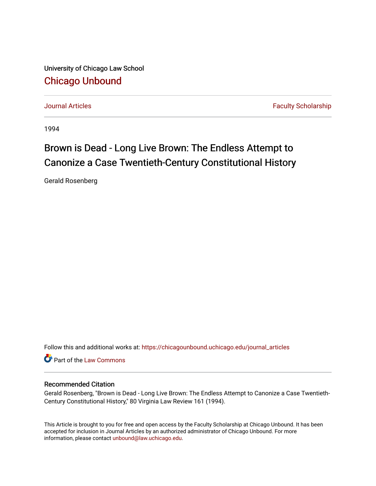University of Chicago Law School [Chicago Unbound](https://chicagounbound.uchicago.edu/)

[Journal Articles](https://chicagounbound.uchicago.edu/journal_articles) **Faculty Scholarship Journal Articles** 

1994

## Brown is Dead - Long Live Brown: The Endless Attempt to Canonize a Case Twentieth-Century Constitutional History

Gerald Rosenberg

Follow this and additional works at: [https://chicagounbound.uchicago.edu/journal\\_articles](https://chicagounbound.uchicago.edu/journal_articles?utm_source=chicagounbound.uchicago.edu%2Fjournal_articles%2F1918&utm_medium=PDF&utm_campaign=PDFCoverPages) 

Part of the [Law Commons](http://network.bepress.com/hgg/discipline/578?utm_source=chicagounbound.uchicago.edu%2Fjournal_articles%2F1918&utm_medium=PDF&utm_campaign=PDFCoverPages)

## Recommended Citation

Gerald Rosenberg, "Brown is Dead - Long Live Brown: The Endless Attempt to Canonize a Case Twentieth-Century Constitutional History," 80 Virginia Law Review 161 (1994).

This Article is brought to you for free and open access by the Faculty Scholarship at Chicago Unbound. It has been accepted for inclusion in Journal Articles by an authorized administrator of Chicago Unbound. For more information, please contact [unbound@law.uchicago.edu](mailto:unbound@law.uchicago.edu).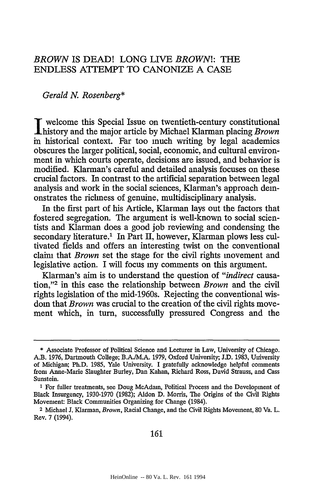## *BROWN* IS DEAD! LONG LIVE *BROWN!: THE* ENDLESS ATTEMPT TO CANONIZE A CASE

## *Gerald N. Rosenberg\**

welcome this Special Issue on twentieth-century constitutional history and the major article **by** Michael Klarman placing *Brown* in historical context. Far too much writing **by** legal academics obscures the larger political, social, economic, and cultural environment in which courts operate, decisions are issued, and behavior is modified. Klarman's careful and detailed analysis focuses on these crucial factors. In contrast to the artificial separation between legal analysis and work in the social sciences, Klarman's approach demonstrates the richness of genuine, multidisciplinary analysis.

In the first part of his Article, Klarman lays out the factors that fostered segregation. The argument is well-known to social scientists and Klarman does a good job reviewing and condensing the secondary literature.<sup>1</sup> In Part II, however, Klarman plows less cultivated fields and offers an interesting twist on the conventional claim that *Brown* set the stage for the civil rights movement and legislative action. I will focus my comments on this argument.

Klarman's aim is to understand the question of *"indirect* causation,"<sup>2</sup> in this case the relationship between *Brown* and the civil rights legislation of the mid-1960s. Rejecting the conventional wisdom that *Brown* was crucial to the creation of the civil rights movement which, in turn, successfully pressured Congress and the

<sup>\*</sup> Associate Professor of Political Science and Lecturer in Law, University of Chicago. A.B. 1976, Dartmouth College; B.A./M.A. 1979, Oxford University; **J.D.** 1983, University of Michigan; Ph.D. 1985, Yale University. I gratefully acknowledge helpful comments from Anne-Marie Slaughter Burley, Dan Kahan, Richard Ross, David Strauss, and Cass Sunstein.

**<sup>1</sup>** For fuller treatments, see Doug McAdam, Political Process and the Development of Black Insurgency, 1930-1970 (1982); Aldon D. Morris, The Origins of the Civil Rights Movement: Black Communities Organizing for Change (1984).

**<sup>2</sup>**Michael **J.** Klarman, *Brown,* Racial Change, and the Civil Rights Movement, 80 Va. L. Rev. 7 (1994).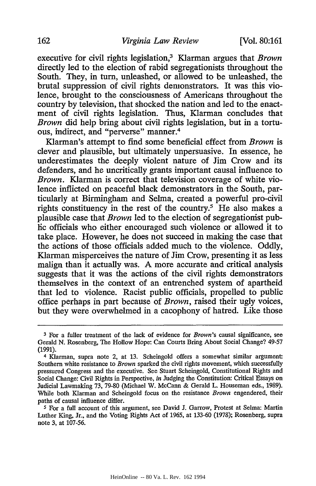executive for civil rights legislation,3 Klarman argues that *Brown* directly led to the election of rabid segregationists throughout the South. They, in turn, unleashed, or allowed to be unleashed, the brutal suppression of civil rights demonstrators. It was this violence, brought to the consciousness of Americans throughout the country by television, that shocked the nation and led to the enactment of civil rights legislation. Thus, Klarman concludes that *Brown* did help bring about civil rights legislation, but in a tortuous, indirect, and "perverse" manner.<sup>4</sup>

Klarman's attempt to find some beneficial effect from *Brown* is clever and plausible, but ultimately unpersuasive. In essence, he underestimates the deeply violent nature of Jim Crow and its defenders, and he uncritically grants important causal influence to *Brown.* Klarman is correct that television coverage of white violence inflicted on peaceful black demonstrators in the South, particularly at Birmingham and Selma, created a powerful pro-civil rights constituency in the rest of the country.<sup>5</sup> He also makes a plausible case that *Brown* led to the election of segregationist public officials who either encouraged such violence or allowed it to take place. However, he does not succeed in making the case that the actions of those officials added much to the violence. Oddly, Klarman misperceives the nature of Jim Crow, presenting it as less malign than it actually was. A more accurate and critical analysis suggests that it was the actions of the civil rights demonstrators themselves in the context of an entrenched system of apartheid that led to violence. Racist public officials, propelled to public office perhaps in part because of *Brown,* raised their ugly voices, but they were overwhelmed in a cacophony of hatred. Like those

<sup>3</sup> For a fuller treatment of the lack of evidence for *Brown's* causal significance, see Gerald N. Rosenberg, The Hollow Hope: Can Courts Bring About Social Change? 49-57 (1991).

<sup>4</sup> Klarman, supra note 2, at **13.** Scheingold offers a somewhat similar argument: Southern white resistance to *Brown* sparked the civil rights movement, which successfully pressured Congress and the executive. See Stuart Scheingold, Constitutional Rights and Social Change: Civil Rights in Perspective, *in* Judging the Constitution: Critical Essays on Judicial Lawmaking 73, 79-80 (Michael W. McCann & Gerald L. Houseman eds., 1989). While both Klarman and Scheingold focus on the resistance *Brown* engendered, their paths of causal influence differ.

<sup>5</sup> For a full account of this argument, see David J. Garrow, Protest at Selma: Martin Luther King, Jr., and the Voting Rights Act of 1965, at 133-60 (1978); Rosenberg, supra note 3, at 107-56.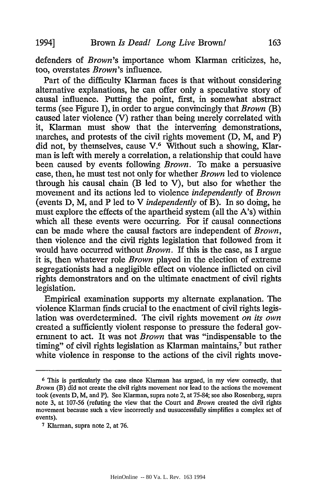defenders of *Brown's* importance whom Klarman criticizes, he,

too, overstates *Brown's* influence. Part of the difficulty Klarman faces is that without considering alternative explanations, he can offer only a speculative story of causal influence. Putting the point, first, in somewhat abstract terms (see Figure I), in order to argue convincingly that *Brown* (B) caused later violence (V) rather than being merely correlated with it, Klarman must show that the intervening demonstrations, marches, and protests of the civil rights movement (D, M, and P) did not, by themselves, cause V.6 Without such a showing, Klarman is left with merely a correlation, a relationship that could have been caused by events following *Brown.* To make a persuasive case, then, he must test not only for whether *Brown* led to violence through his causal chain (B led to V), but also for whether the movement and its actions led to violence *independently* of *Brown* (events D, M, and P led to V *independently* of B). In so doing, he must explore the effects of the apartheid system (all the A's) within which all these events were occurring. For if causal connections can be made where the causal factors are independent of *Brown,* then violence and the civil rights legislation that followed from it would have occurred without *Brown.* If this is the case, as I argue it is, then whatever role *Brown* played in the election of extreme segregationists had a negligible effect on violence inflicted on civil rights demonstrators and on the ultimate enactment of civil rights legislation.

Empirical examination supports my alternate explanation. The violence Klarman finds crucial to the enactment of civil rights legislation was overdetermined. The civil rights movement *on its own* created a sufficiently violent response to pressure the federal government to act. It was not *Brown* that was "indispensable to the timing" of civil rights legislation as Klarman maintains,7 but rather white violence in response to the actions of the civil rights move-

1994]

**<sup>6</sup>** This is particularly the case since Klarman has argued, in my view correctly, that *Brown* (B) did not create the civil rights movement nor lead to the actions the movement took (events D, M, and P). See Klarman, supra note 2, at 75-84; see also Rosenberg, supra note 3, at 107-56 (refuting the view that the Court and *Brown* created the civil rights movement because such a view incorrectly and unsuccessfully simplifies a complex set of events).

**<sup>7</sup>**Klarman, supra note 2, at 76.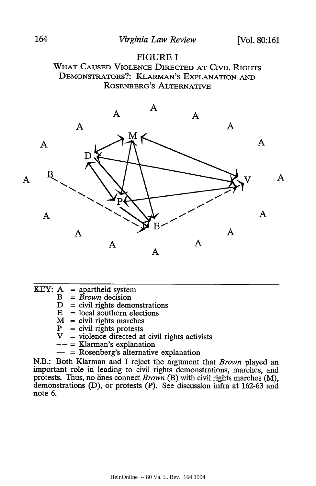FIGURE I WHAT **CAUSED** VIOLENCE DIRECTED **AT** CIVIL RIGHTS DEMONSTRATORS?: KLARMAN'S EXPLANATION **AND** ROSENBERG'S ALTERNATIVE



- KEY:  $A$  = apartheid system
	- B = *Brown* decision
	- $D =$  civil rights demonstrations
	- $E =$ local southern elections
	- $M =$  civil rights marches
	- $P = \text{civil rights protects}$
	- $V =$  violence directed at civil rights activists
	- $---$  = Klarman's explanation
	- $-$  = Rosenberg's alternative explanation

N.B.: Both Klarman and I reject the argument that *Brown* played an important role in leading to civil rights demonstrations, marches, and protests. Thus, no lines connect *Brown* (B) with civil rights marches (M), demonstrations (D), or protests (P). See discussion infra at 162-63 and note 6.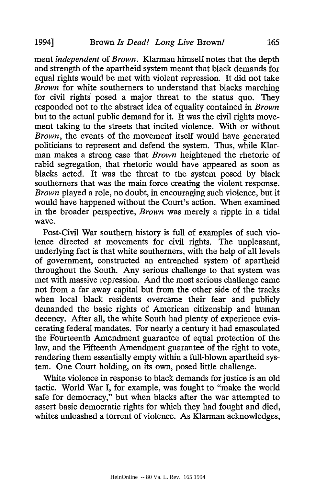ment *independent* of *Brown.* Klarman himself notes that the depth and strength of the apartheid system meant that black demands for equal fights would be met with violent repression. It did not take *Brown* for white southerners to understand that blacks marching for civil rights' posed a major threat to the status quo. They responded not to the abstract idea of equality contained in *Brown* but to the actual public demand for it. It was the civil fights movement taking to the streets that incited violence. With or without *Brown,* the events of the movement itself would have generated politicians to represent and defend the system. Thus, while Klarman makes a strong case that *Brown* heightened the rhetoric of rabid segregation, that rhetoric would have appeared as soon as blacks acted. It was the threat to the system posed by black southerners that was the main force creating the violent response. *Brown* played a role, no doubt, in encouraging such violence, but it would have happened without the Court's action. When examined in the broader perspective, *Brown* was merely a ripple in a tidal wave.

Post-Civil War southern history is full of examples of such violence directed at movements for civil rights. The unpleasant, underlying fact is that white southerners, with the help of all levels of government, constructed an entrenched system of apartheid throughout the South. Any serious challenge to that system was met with massive repression. And the most serious challenge came not from a far away capital but from the other side of the tracks when local black residents overcame their fear and publicly demanded the basic rights of American citizenship and human decency. After all, the white South had plenty of experience eviscerating federal mandates. For nearly a century it had emasculated the Fourteenth Amendment guarantee of equal protection of the law, and the Fifteenth Amendment guarantee of the right to vote, rendering them essentially empty within a full-blown apartheid system. One Court holding, on its own, posed little challenge.

White violence in response to black demands for justice is an old tactic. World War I, for example, was fought to "make the world safe for democracy," but when blacks after the war attempted to assert basic democratic rights for which they had fought and died, whites unleashed a torrent of violence. As Klarman acknowledges,

19941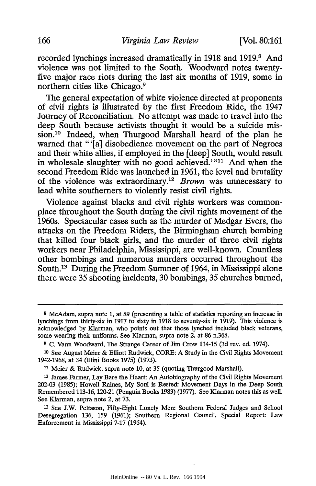recorded lynchings increased dramatically in 1918 and 1919.8 And violence was not limited to the South. Woodward notes twentyfive major race riots during the last six months of 1919, some in northern cities like Chicago.<sup>9</sup>

The general expectation of white violence directed at proponents of civil rights is illustrated by the first Freedom Ride, the 1947 Journey of Reconciliation. No attempt was made to travel into the deep South because activists thought it would be a suicide mission.<sup>10</sup> Indeed, when Thurgood Marshall heard of the plan he warned that "'[a] disobedience movement on the part of Negroes and their white allies, if employed in the [deep] South, would result in wholesale slaughter with no good achieved."<sup>11</sup> And when the second Freedom Ride was launched in 1961, the level and brutality of the violence was extraordinary.<sup>12</sup> Brown was unnecessary to lead white southerners to violently resist civil rights.

Violence against blacks and civil rights workers was commonplace throughout the South during the civil rights movement of the 1960s. Spectacular cases such as the murder of Medgar Evers, the attacks on the Freedom Riders, the Birmingham church bombing that killed four black girls, and the murder of three civil rights workers near Philadelphia, Mississippi, are well-known. Countless other bombings and numerous murders occurred throughout the South.<sup>13</sup> During the Freedom Summer of 1964, in Mississippi alone there were 35 shooting incidents, 30 bombings, 35 churches burned,

**<sup>8</sup>** McAdam, supra note 1, at 89 (presenting a table of statistics reporting an increase in lynchings from thirty-six in **1917** to sixty in 1918 to seventy-six in 1919). This violence is acknowledged by Klarman, who points out that those lynched included black veterans, some wearing their uniforms. See Klarman, supra note 2, at 86 n.368.

**<sup>9</sup>** C. Vann Woodward, The Strange Career of Jim Crow 114-15 (3d rev. ed. 1974).

**<sup>10</sup>**See August Meier & Elliott Rudwick, CORE: A Study in the Civil Rights Movement 1942-1968, at 34 (Illini Books 1975) (1973).

**<sup>11</sup>** Meier & Rudwick, supra note 10, at 35 (quoting Thurgood Marshall).

<sup>&</sup>lt;sup>12</sup> James Farmer, Lay Bare the Heart: An Autobiography of the Civil Rights Movement 202-03 (1985); Howell Raines, My Soul is Rested: Movement Days in the Deep South Remembered 113-16, 120-21 (Penguin Books 1983) (1977). See Klarman notes this as well. See Klarman, supra note 2, at 73.

**<sup>13</sup>**See J.W. Peltason, Fifty-Eight Lonely Men: Southern Federal Judges and School Desegregation 136, **159** (1961); Southern Regional Council, Special Report: Law Enforcement in Mississippi 7-17 (1964).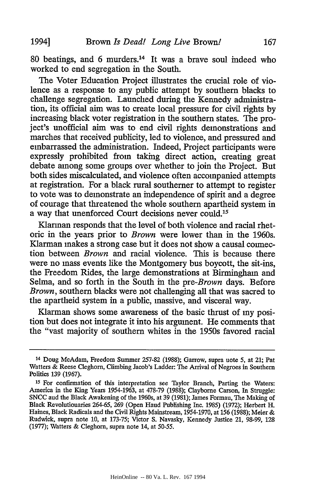80 beatings, and 6 murders.14 It was a brave soul indeed who worked to end segregation in the South.

The Voter Education Project illustrates the crucial role of violence as a response to any public attempt by southern blacks to challenge segregation. Launched during the Kennedy administration, its official aim was to create local pressure for civil rights by increasing black voter registration in the southern states. The project's unofficial aim was to end civil rights demonstrations and marches that received publicity, led to violence, and pressured and embarrassed the administration. Indeed, Project participants were expressly prohibited from taking direct action, creating great debate among some groups over whether to join the Project. But both sides miscalculated, and violence often accompanied attempts at registration. For a black rural southerner to attempt to register to vote was to demonstrate an independence of spirit and a degree of courage that threatened the whole southern apartheid system in a way that unenforced Court decisions never could.<sup>15</sup>

Klarman responds that the level of both violence and racial rhetoric in the years prior to *Brown* were lower than in the 1960s. Klarman makes a strong case but it does not show a causal connection between *Brown* and racial violence. This is because there were no mass events like the Montgomery bus boycott, the sit-ins, the Freedom Rides, the large demonstrations at Birmingham and Selma, and so forth in the South in the *pre-Brown* days. Before *Brown,* southern blacks were not challenging all that was sacred to the apartheid system in a public, massive, and visceral way.

Klarman shows some awareness of the basic thrust of my position but does not integrate it into his argument. He comments that the "vast majority of southern whites in the 1950s favored racial

1994]

**<sup>14</sup>** Doug McAdam, Freedom Summer 257-82 (1988); Garrow, supra note 5, at 21; Pat Watters & Reese Cleghorn, Climbing Jacob's Ladder: The Arrival of Negroes in Southern Politics 139 (1967).

**<sup>15</sup>**For confirmation of this interpretation see Taylor Branch, Parting the Waters: America in the King Years 1954-1963, at 478-79 (1988); Clayborne Carson, In Struggle: SNCC and the Black Awakening of the 1960s, at 39 (1981); James Forman, The Making of Black Revolutionaries 264-65, 269 (Open Hand Publishing Inc. 1985) (1972); Herbert H. Haines, Black Radicals and the Civil Rights Mainstream, 1954-1970, at 156 (1988); Meier & Rudwick, supra note 10, at 173-75; Victor S. Navasky, Kennedy Justice 21, 98-99, 128 (1977); Watters & Cleghorn, supra note 14, at 50-55.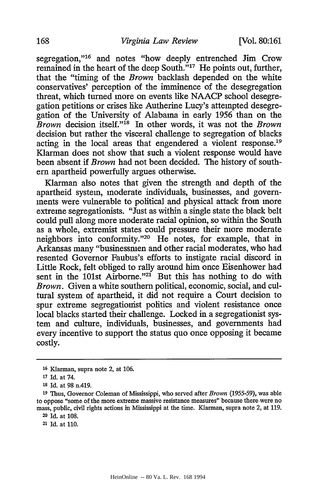segregation,"<sup>16</sup> and notes "how deeply entrenched Jim Crow remained in the heart of the deep South."<sup>17</sup> He points out, further, that the "timing of the *Brown* backlash depended on the white conservatives' perception of the imminence of the desegregation threat, which turned more on events like NAACP school desegregation petitions or crises like Autherine Lucy's attempted desegregation of the University of Alabama in early 1956 than on the *Brown* decision itself."<sup>18</sup> In other words, it was not the *Brown* decision but rather the visceral challenge to segregation of blacks acting in the local areas that engendered a violent response.<sup>19</sup> Klarman does not show that such a violent response would have been absent if *Brown* had not been decided. The history of southem apartheid powerfully argues otherwise.

Klarman also notes that given the strength and depth of the apartheid system, moderate individuals, businesses, and governments were vulnerable to political and physical attack from more extreme segregationists. "Just as within a single state the black belt could pull along more moderate racial opinion, so within the South as a whole, extremist states could pressure their more moderate neighbors into conformity."<sup>20</sup> He notes, for example, that in Arkansas many "businessmen and other racial moderates, who had resented Governor Faubus's efforts to instigate racial discord in Little Rock, felt obliged to rally around him once Eisenhower had sent in the 101st Airborne."<sup>21</sup> But this has nothing to do with *Brown.* Given a white southern political, economic, social, and cultural system of apartheid, it did not require a Court decision to spur extreme segregationist politics and violent resistance once local blacks started their challenge. Locked in a segregationist system and culture, individuals, businesses, and governments had every incentive to support the status quo once opposing it became costly.

**<sup>16</sup>**Klarman, supra note 2, at 106.

**<sup>17</sup>**Id. at 74.

**<sup>18</sup>**Id. at 98 n.419.

**<sup>19</sup>**Thus, Governor Coleman of Mississippi, who served after *Brown* (1955-59), was able to oppose "some of the more extreme massive resistance measures" because there were no mass, public, civil rights actions in Mississippi at the time. Klarman, supra note 2, at 119.

**<sup>20</sup>**Id. at **108.**

**<sup>21</sup>**Id. at 110.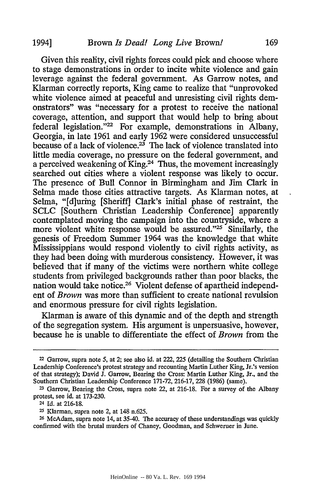Given this reality, civil rights forces could pick and choose where to stage demonstrations in order to incite white violence and gain leverage against the federal government. As Garrow notes, and Klarman correctly reports, King came to realize that "unprovoked white violence aimed at peaceful and unresisting civil rights demonstrators" was "necessary for a protest to receive the national coverage, attention, and support that would help to bring about federal legislation."<sup>22</sup> For example, demonstrations in Albany, Georgia, in late 1961 and early 1962 were considered unsuccessful because of a lack of violence.<sup>23</sup> The lack of violence translated into little media coverage, no pressure on the federal government, and a perceived weakening of King.<sup>24</sup> Thus, the movement increasingly searched out cities where a violent response was likely to occur. The presence of Bull Connor in Birmingham and Jim Clark in Selma made those cities attractive targets. As Klarman notes, at Selma, "[d]uring [Sheriff] Clark's initial phase of restraint, the SCLC [Southern Christian Leadership Conference] apparently contemplated moving the campaign into the countryside, where a more violent white response would be assured."<sup>25</sup> Similarly, the genesis of Freedom Summer 1964 was the knowledge that white Mississippians would respond violently to civil rights activity, as they had been doing with murderous consistency. However, it was believed that if many of the victims were northern white college students from privileged backgrounds rather than poor blacks, the nation would take notice.26 Violent defense of apartheid independent of *Brown* was more than sufficient to create national revulsion and enormous pressure for civil rights legislation.

Klarman is aware of this dynamic and of the depth and strength of the segregation system. His argument is unpersuasive, however, because he is unable to differentiate the effect of *Brown* from the

**<sup>22</sup>**Garrow, supra note 5, at 2; see also id. at 222, 225 (detailing the Southern Christian Leadership Conference's protest strategy and recounting Martin Luther King, Jr.'s version of that strategy); David J. Garrow, Bearing the Cross: Martin Luther King, Jr., and the Southern Christian Leadership Conference 171-72, 216-17, 228 (1986) (same).

**<sup>23</sup>**Garrow, Bearing the Cross, supra note 22, at 216-18. For a survey of the Albany protest, see id. at 173-230.

<sup>24</sup>Id. at 216-18.

**<sup>25</sup>**Klarman, supra note 2, at 148 n.625.

**<sup>26</sup>**McAdam, supra note 14, at 35-40. The accuracy of these understandings was quickly confirmed with the brutal murders of Chaney, Goodman, and Schwerner in June.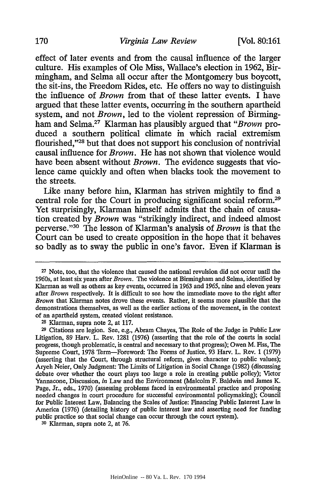effect of later events and from the causal influence of the larger culture. His examples of Ole Miss, Wallace's election in 1962, Birmingham, and Selma all occur after the Montgomery bus boycott, the sit-ins, the Freedom Rides, etc. He offers no way to distinguish the influence of *Brown* from that of these latter events. I have argued that these latter events, occurring in the southern apartheid system, and not *Brown,* led to the violent repression of Birmingham and Selma.27 Klarman has plausibly argued that *"Brown* produced a southern political climate in which racial extremism flourished,"<sup>28</sup> but that does not support his conclusion of nontrivial causal influence for *Brown.* He has not shown that violence would have been absent without *Brown*. The evidence suggests that violence came quickly and often when blacks took the movement to the streets.

Like many before him, Klarman has striven mightily to find a central role for the Court in producing significant social reform.29 Yet surprisingly, Klarman himself admits that the chain of causation created by *Brown* was "strikingly indirect, and indeed almost perverse. **"30** The lesson of Klarman's analysis of *Brown* is that the Court can be used to create opposition in the hope that it behaves so badly as to sway the public in one's favor. Even if Klarman is

**<sup>27</sup>**Note, too, that the violence that caused the national revulsion did not occur until the 1960s, at least six years after *Brown.* The violence at Birmingham and Selma, identified by Klarman as well as others as key events, occurred in 1963 and 1965, nine and eleven years after *Brown* respectively. It is difficult to see how the immediate move to the right after *Brown* that Klarman notes drove these events. Rather, it seems more plausible that the demonstrations themselves, as well as the earlier actions of the movement, in the context of an apartheid system, created violent resistance.

*<sup>28</sup>*Klarman, supra note 2, at 117.

**<sup>29</sup>**Citations are legion. See, e.g., Abram Chayes, The Role of the Judge in Public Law Litigation, 89 Harv. L. Rev. 1281 (1976) (asserting that the role of the courts in social progress, though problematic, is central and necessary to that progress); Owen M. Fiss, The Supreme Court, 1978 Term-Foreword: The Forms of Justice, 93 Harv. L. Rev. 1 (1979) (asserting that the Court, through structural reform, gives character to public values); Aryeh Neier, Only Judgment: The Limits of Litigation in Social Change (1982) (discussing debate over whether the court plays too large a role in creating public policy); Victor Yannacone, Discussion, *in* Law and the Environment (Malcolm F. Baldwin and James K. Page, Jr., eds., 1970) (assessing problems faced in environmental practice and proposing needed changes in court procedure for successful environmental policymaking); Council for Public Interest Law, Balancing the Scales of Justice: Financing Public Interest Law in America (1976) (detailing history of public interest law and asserting need for funding public practice so that social change can occur through the court system).

**<sup>30</sup>**Klarman, supra note 2, at 76.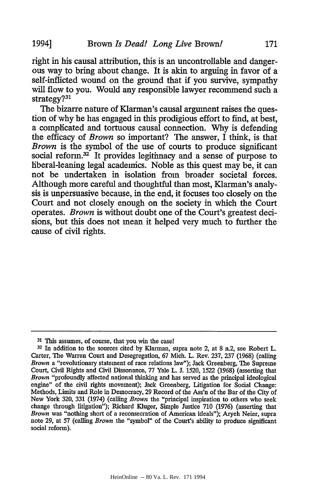1994]

right in his causal attribution, this is an uncontrollable and dangerous way to bring about change. It is akin to arguing in favor of a self-inflicted wound on the ground that if you survive, sympathy will flow to you. Would any responsible lawyer recommend such a strategy?<sup>31</sup>

The bizarre nature of Klarman's causal argument raises the question of why he has engaged in this prodigious effort to find, at best, a complicated and tortuous causal connection. Why is defending the efficacy of *Brown* so important? The answer, I think, is that *Brown* is the symbol of the use of courts to produce significant social reform.<sup>32</sup> It provides legitimacy and a sense of purpose to liberal-leaning legal academics. Noble as this quest may be, it can not be undertaken in isolation from broader societal forces. Although more careful and thoughtful than most, Klarman's analysis is unpersuasive because, in the end, it focuses too closely on the Court and not closely enough on the society in which the Court operates. *Brown* is without doubt one of the Court's greatest decisions, but this does not mean it helped very much to further the cause of civil rights.

**<sup>31</sup>**This assumes, of course, that you win the case!

**<sup>32</sup>**In addition to the sources cited by Klarman, supra note 2, at 8 n.2, see Robert L. Carter, The Warren Court and Desegregation, 67 Mich. L. Rev. 237, 237 (1968) (calling *Brown* a "revolutionary statement of race relations law"); Jack Greenberg, The Supreme Court, Civil Rights and Civil Dissonance, 77 Yale L. J. 1520, 1522 (1968) (asserting that *Brown* "profoundly affected national thinking and has served as the principal ideological engine" of the civil rights movement); Jack Greenberg, Litigation for Social Change: Methods, Limits and Role in Democracy, 29 Record of the Ass'n of the Bar of the City of New York 320, **331** (1974) (calling *Brown* the "principal inspiration to others who seek change through litigation"); Richard Kluger, Simple Justice 710 (1976) (asserting that *Brown* was "nothing short of a reconsecration of American ideals"); Aryeh Neier, supra note 29, at 57 (calling *Brown* the "symbol" of the Court's ability to produce significant social reform).